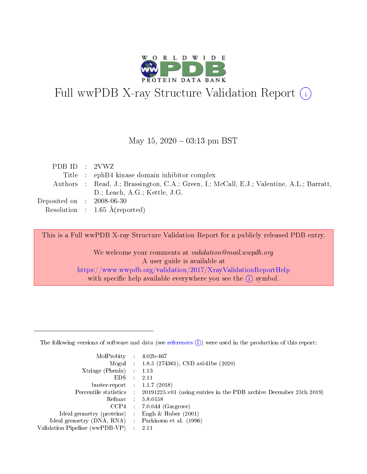

# Full wwPDB X-ray Structure Validation Report (i)

#### May 15,  $2020 - 03:13$  pm BST

| PDB ID : $2VWZ$                     |                                                                                           |
|-------------------------------------|-------------------------------------------------------------------------------------------|
|                                     | Title : ephB4 kinase domain inhibitor complex                                             |
|                                     | Authors : Read, J.; Brassington, C.A.; Green, I.; McCall, E.J.; Valentine, A.L.; Barratt, |
|                                     | D.; Leach, A.G.; Kettle, J.G.                                                             |
| Deposited on $\,$ : 2008-06-30 $\,$ |                                                                                           |
|                                     | Resolution : $1.65 \text{ Å}$ (reported)                                                  |

This is a Full wwPDB X-ray Structure Validation Report for a publicly released PDB entry.

We welcome your comments at validation@mail.wwpdb.org A user guide is available at <https://www.wwpdb.org/validation/2017/XrayValidationReportHelp> with specific help available everywhere you see the  $(i)$  symbol.

The following versions of software and data (see [references](https://www.wwpdb.org/validation/2017/XrayValidationReportHelp#references)  $(1)$ ) were used in the production of this report:

| MolProbity                     | $\mathcal{L}_{\rm{max}}$ | $4.02b - 467$                                                                |
|--------------------------------|--------------------------|------------------------------------------------------------------------------|
|                                |                          | Mogul : $1.8.5$ (274361), CSD as 541be (2020)                                |
| $X$ triage (Phenix) :          |                          | 1.13                                                                         |
| EDS.                           |                          | 2.11                                                                         |
| buster-report : $1.1.7$ (2018) |                          |                                                                              |
| Percentile statistics :        |                          | $20191225 \text{ v}01$ (using entries in the PDB archive December 25th 2019) |
| Refmac                         |                          | 5.8.0158                                                                     |
| $CCP4$ :                       |                          | $7.0.044$ (Gargrove)                                                         |
| Ideal geometry (proteins) :    |                          | Engh $\&$ Huber (2001)                                                       |
| Ideal geometry (DNA, RNA) :    |                          | Parkinson et al. (1996)                                                      |
| Validation Pipeline (wwPDB-VP) | $\mathcal{L}$            | -2.11                                                                        |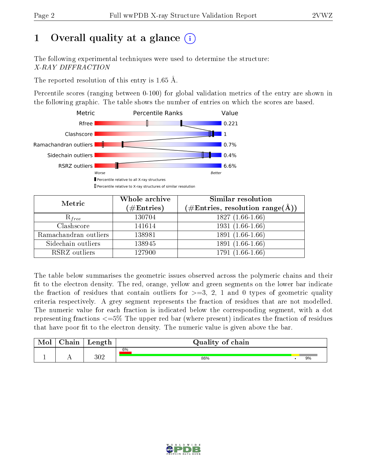# 1 [O](https://www.wwpdb.org/validation/2017/XrayValidationReportHelp#overall_quality)verall quality at a glance  $(i)$

The following experimental techniques were used to determine the structure: X-RAY DIFFRACTION

The reported resolution of this entry is 1.65 Å.

Percentile scores (ranging between 0-100) for global validation metrics of the entry are shown in the following graphic. The table shows the number of entries on which the scores are based.



| Metric                | Whole archive<br>$(\#\mathrm{Entries})$ | Similar resolution<br>$(\#\text{Entries},\,\text{resolution}\,\,\text{range}(\textup{\AA}))$ |
|-----------------------|-----------------------------------------|----------------------------------------------------------------------------------------------|
| $R_{free}$            | 130704                                  | $1827(1.66-1.66)$                                                                            |
| Clashscore            | 141614                                  | $1931(1.66-1.66)$                                                                            |
| Ramachandran outliers | 138981                                  | $1891(1.66-1.66)$                                                                            |
| Sidechain outliers    | 138945                                  | 1891 (1.66-1.66)                                                                             |
| RSRZ outliers         | 127900                                  | 1791 (1.66-1.66)                                                                             |

The table below summarises the geometric issues observed across the polymeric chains and their fit to the electron density. The red, orange, yellow and green segments on the lower bar indicate the fraction of residues that contain outliers for  $>=3, 2, 1$  and 0 types of geometric quality criteria respectively. A grey segment represents the fraction of residues that are not modelled. The numeric value for each fraction is indicated below the corresponding segment, with a dot representing fractions  $\epsilon=5\%$  The upper red bar (where present) indicates the fraction of residues that have poor fit to the electron density. The numeric value is given above the bar.

| Mol | $\cap$ hain | Length  | Quality of chain |  |    |  |  |  |  |  |
|-----|-------------|---------|------------------|--|----|--|--|--|--|--|
|     |             |         | 6%               |  |    |  |  |  |  |  |
|     |             | $302\,$ | 86%              |  | 9% |  |  |  |  |  |

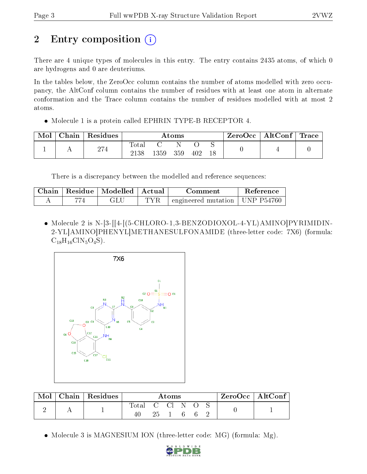# 2 Entry composition  $\left( \cdot \right)$

There are 4 unique types of molecules in this entry. The entry contains 2435 atoms, of which 0 are hydrogens and 0 are deuteriums.

In the tables below, the ZeroOcc column contains the number of atoms modelled with zero occupancy, the AltConf column contains the number of residues with at least one atom in alternate conformation and the Trace column contains the number of residues modelled with at most 2 atoms.

• Molecule 1 is a protein called EPHRIN TYPE-B RECEPTOR 4.

| Mol | Chain | $\vert$ Residues | Atoms         |      |     | ZeroOcc∣ | $\mid$ AltConf $\mid$ Trace |  |  |  |
|-----|-------|------------------|---------------|------|-----|----------|-----------------------------|--|--|--|
|     |       | 274              | Totar<br>2138 | 1359 | 359 | 402      | 18                          |  |  |  |

There is a discrepancy between the modelled and reference sequences:

| Chain- | Residue   Modelled   Actual | Comment                                          | Reference |
|--------|-----------------------------|--------------------------------------------------|-----------|
|        | JЦ                          | $\pm$ engineered mutation $\pm$ UNP P54760 $\pm$ |           |

• Molecule 2 is N-[3-[[4-[(5-CHLORO-1,3-BENZODIOXOL-4-YL)AMINO]PYRIMIDIN-2-YL]AMINO]PHENYL]METHANESULFONAMIDE (three-letter code: 7X6) (formula:  $C_{18}H_{16}C1N_5O_4S$ .



| Mol | $\mid$ Chain $\mid$ Residues | Atoms              |    |      |    |    | $ZeroOcc \mid AltConf \mid$ |  |
|-----|------------------------------|--------------------|----|------|----|----|-----------------------------|--|
|     |                              | <b>Total</b><br>40 | 25 | CCIN | -6 | -6 |                             |  |

• Molecule 3 is MAGNESIUM ION (three-letter code: MG) (formula: Mg).

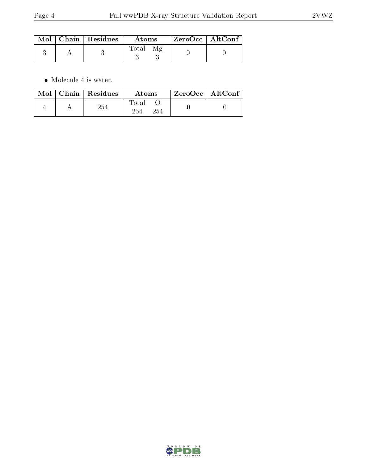|  | Mol   Chain   Residues | Atoms        | $\mid$ ZeroOcc $\mid$ AltConf $\mid$ |  |
|--|------------------------|--------------|--------------------------------------|--|
|  |                        | <b>Total</b> |                                      |  |

 $\bullet\,$  Molecule 4 is water.

|  | $\text{Mol}$   Chain   Residues | Atoms               | ZeroOcc   AltConf |  |
|--|---------------------------------|---------------------|-------------------|--|
|  | 254                             | Total<br>254<br>254 |                   |  |

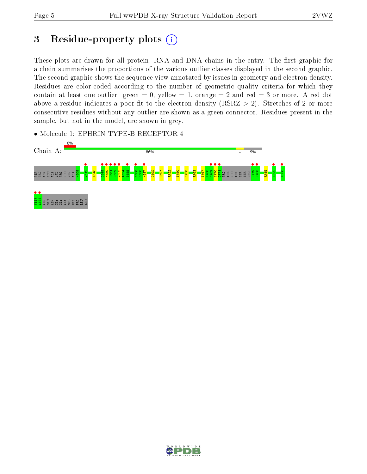## 3 Residue-property plots  $(i)$

These plots are drawn for all protein, RNA and DNA chains in the entry. The first graphic for a chain summarises the proportions of the various outlier classes displayed in the second graphic. The second graphic shows the sequence view annotated by issues in geometry and electron density. Residues are color-coded according to the number of geometric quality criteria for which they contain at least one outlier: green  $= 0$ , yellow  $= 1$ , orange  $= 2$  and red  $= 3$  or more. A red dot above a residue indicates a poor fit to the electron density (RSRZ  $> 2$ ). Stretches of 2 or more consecutive residues without any outlier are shown as a green connector. Residues present in the sample, but not in the model, are shown in grey.



• Molecule 1: EPHRIN TYPE-B RECEPTOR 4

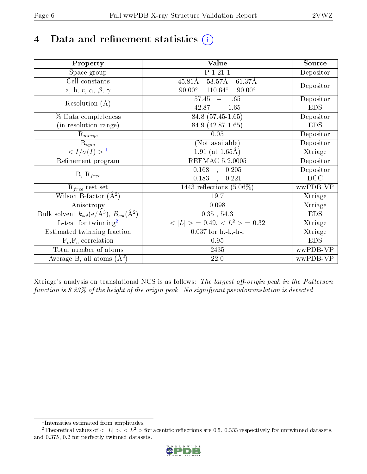# 4 Data and refinement statistics  $(i)$

| Property                                                   | <b>Value</b>                                     | Source     |
|------------------------------------------------------------|--------------------------------------------------|------------|
| Space group                                                | P 1 21 1                                         | Depositor  |
| Cell constants                                             | $53.57\text{\AA}$<br>$45.81\text{\AA}$<br>61.37Å |            |
| a, b, c, $\alpha$ , $\beta$ , $\gamma$                     | $90.00^\circ$<br>$110.64^\circ$<br>$90.00^\circ$ | Depositor  |
| Resolution $(A)$                                           | $-1.65$<br>57.45                                 | Depositor  |
|                                                            | 42.87<br>1.65<br>$\equiv$                        | <b>EDS</b> |
| % Data completeness                                        | 84.8 (57.45-1.65)                                | Depositor  |
| (in resolution range)                                      | 84.9 (42.87-1.65)                                | <b>EDS</b> |
| $R_{merge}$                                                | 0.05                                             | Depositor  |
| $\mathrm{R}_{sym}$                                         | (Not available)                                  | Depositor  |
| $\langle I/\sigma(I) \rangle^{-1}$                         | 1.91 (at $1.65\text{\AA}$ )                      | Xtriage    |
| Refinement program                                         | REFMAC 5.2.0005                                  | Depositor  |
|                                                            | $\overline{0.168}$ ,<br>0.205                    | Depositor  |
| $R, R_{free}$                                              | 0.183<br>0.221<br>$\ddot{\phantom{a}}$           | DCC        |
| $R_{free}$ test set                                        | 1443 reflections $(5.06\%)$                      | wwPDB-VP   |
| Wilson B-factor $(A^2)$                                    | 19.7                                             | Xtriage    |
| Anisotropy                                                 | 0.098                                            | Xtriage    |
| Bulk solvent $k_{sol}$ (e/Å <sup>3</sup> ), $B_{sol}(A^2)$ | $0.35$ , $54.3$                                  | <b>EDS</b> |
| $\overline{L}$ -test for twinning <sup>2</sup>             | $< L >$ = 0.49, $< L2$ = 0.32                    | Xtriage    |
| Estimated twinning fraction                                | $0.037$ for h,-k,-h-l                            | Xtriage    |
| $F_o, F_c$ correlation                                     | 0.95                                             | <b>EDS</b> |
| Total number of atoms                                      | 2435                                             | wwPDB-VP   |
| Average B, all atoms $(A^2)$                               | 22.0                                             | wwPDB-VP   |

Xtriage's analysis on translational NCS is as follows: The largest off-origin peak in the Patterson function is  $8.23\%$  of the height of the origin peak. No significant pseudotranslation is detected.

<sup>&</sup>lt;sup>2</sup>Theoretical values of  $\langle |L| \rangle$ ,  $\langle L^2 \rangle$  for acentric reflections are 0.5, 0.333 respectively for untwinned datasets, and 0.375, 0.2 for perfectly twinned datasets.



<span id="page-5-1"></span><span id="page-5-0"></span><sup>1</sup> Intensities estimated from amplitudes.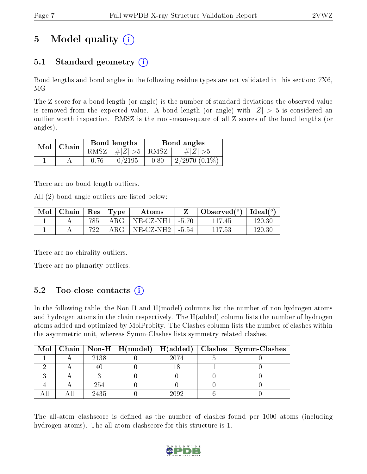# 5 Model quality  $(i)$

## 5.1 Standard geometry  $(i)$

Bond lengths and bond angles in the following residue types are not validated in this section: 7X6, MG

The Z score for a bond length (or angle) is the number of standard deviations the observed value is removed from the expected value. A bond length (or angle) with  $|Z| > 5$  is considered an outlier worth inspection. RMSZ is the root-mean-square of all Z scores of the bond lengths (or angles).

| Mol | Chain | Bond lengths                   | Bond angles |                    |  |
|-----|-------|--------------------------------|-------------|--------------------|--|
|     |       | RMSZ $\mid \#Z \mid >5$   RMSZ |             | $\#Z >5$           |  |
|     |       | 0/2195                         | 0.80        | $2/2970$ $(0.1\%)$ |  |

There are no bond length outliers.

All (2) bond angle outliers are listed below:

| Mol | $\vert$ Chain $\vert$ Res $\vert$ Type |     | Atoms                     | Observed $(^\circ)$   Ideal $(^\circ)$ |        |
|-----|----------------------------------------|-----|---------------------------|----------------------------------------|--------|
|     |                                        | 785 | $ARG   NE-CZ-NH1   -5.70$ | 11745                                  | 120.30 |
|     |                                        | 722 | $ARG   NE-CZ-NH2   -5.54$ | 117.53                                 | 120.30 |

There are no chirality outliers.

There are no planarity outliers.

## 5.2 Too-close contacts  $(i)$

In the following table, the Non-H and H(model) columns list the number of non-hydrogen atoms and hydrogen atoms in the chain respectively. The H(added) column lists the number of hydrogen atoms added and optimized by MolProbity. The Clashes column lists the number of clashes within the asymmetric unit, whereas Symm-Clashes lists symmetry related clashes.

|  |      |      | Mol   Chain   Non-H   H(model)   H(added)   Clashes   Symm-Clashes |
|--|------|------|--------------------------------------------------------------------|
|  | 2138 | 2074 |                                                                    |
|  |      |      |                                                                    |
|  |      |      |                                                                    |
|  | 254  |      |                                                                    |
|  | 2435 | 2092 |                                                                    |

The all-atom clashscore is defined as the number of clashes found per 1000 atoms (including hydrogen atoms). The all-atom clashscore for this structure is 1.

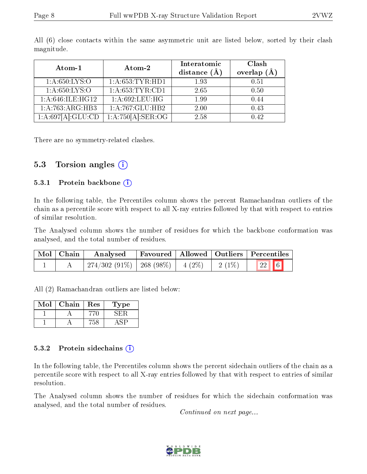| Atom-1              | Atom-2                       | Interatomic<br>distance $(\AA)$ | Clash<br>overlap<br>(A) |
|---------------------|------------------------------|---------------------------------|-------------------------|
| 1: A:650: LYS:O     | 1: A: 653: TYR: HD1          | 1.93                            | 0.51                    |
| 1: A:650: LYS:O     | 1:A:653:TYR:CD1              | 2.65                            | 0.50                    |
| 1: A:646: ILE: HG12 | 1: A:692:LEU:HG              | 1.99                            | 0.44                    |
| 1:A:763:ARG:HB3     | $1:A:\overline{767:GLU:HB2}$ | 2.00                            | 0.43                    |
| 1:A:697[A]:GLU:CD   | 1:A:750[A]:SER:OG            | 2.58                            | 0.42                    |

All (6) close contacts within the same asymmetric unit are listed below, sorted by their clash magnitude.

There are no symmetry-related clashes.

#### 5.3 Torsion angles (i)

#### 5.3.1 Protein backbone  $(i)$

In the following table, the Percentiles column shows the percent Ramachandran outliers of the chain as a percentile score with respect to all X-ray entries followed by that with respect to entries of similar resolution.

The Analysed column shows the number of residues for which the backbone conformation was analysed, and the total number of residues.

| Mol   Chain | Analysed                               |  |          | Favoured   Allowed   Outliers   Percentiles |
|-------------|----------------------------------------|--|----------|---------------------------------------------|
|             | $274/302(91\%)$   268 (98\%)   4 (2\%) |  | $2(1\%)$ | $\boxed{22}$ 6                              |

All (2) Ramachandran outliers are listed below:

| Mol | Chain | Res | Type |
|-----|-------|-----|------|
|     |       |     |      |
|     |       |     |      |

#### 5.3.2 Protein sidechains (i)

In the following table, the Percentiles column shows the percent sidechain outliers of the chain as a percentile score with respect to all X-ray entries followed by that with respect to entries of similar resolution.

The Analysed column shows the number of residues for which the sidechain conformation was analysed, and the total number of residues.

Continued on next page...

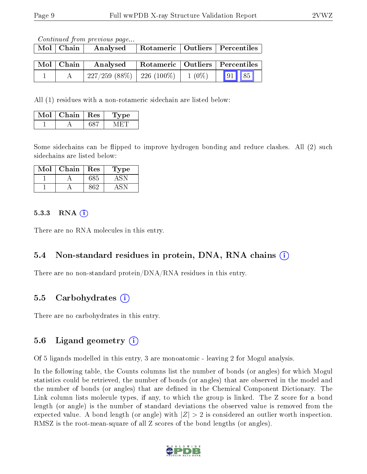Continued from previous page...

| $Mol$   Chain                    | Analysed                       |          | Rotameric   Outliers   Percentiles |
|----------------------------------|--------------------------------|----------|------------------------------------|
| $\mathrm{Mol}\mid\mathrm{Chain}$ | Analysed                       |          | Rotameric   Outliers   Percentiles |
|                                  | $227/259$ (88\%)   226 (100\%) | $1(0\%)$ | $\sqrt{85}$<br> 91                 |

All (1) residues with a non-rotameric sidechain are listed below:

| Mol | Chain $\vert$ Res | Type |
|-----|-------------------|------|
|     |                   |      |

Some sidechains can be flipped to improve hydrogen bonding and reduce clashes. All (2) such sidechains are listed below:

| Mol | ${\bf Chain}$ | Res | 1 ype |
|-----|---------------|-----|-------|
|     |               | 685 |       |
|     |               | 00  |       |

#### 5.3.3 RNA (1)

There are no RNA molecules in this entry.

### 5.4 Non-standard residues in protein, DNA, RNA chains (i)

There are no non-standard protein/DNA/RNA residues in this entry.

### 5.5 Carbohydrates (i)

There are no carbohydrates in this entry.

### 5.6 Ligand geometry  $(i)$

Of 5 ligands modelled in this entry, 3 are monoatomic - leaving 2 for Mogul analysis.

In the following table, the Counts columns list the number of bonds (or angles) for which Mogul statistics could be retrieved, the number of bonds (or angles) that are observed in the model and the number of bonds (or angles) that are dened in the Chemical Component Dictionary. The Link column lists molecule types, if any, to which the group is linked. The Z score for a bond length (or angle) is the number of standard deviations the observed value is removed from the expected value. A bond length (or angle) with  $|Z| > 2$  is considered an outlier worth inspection. RMSZ is the root-mean-square of all Z scores of the bond lengths (or angles).

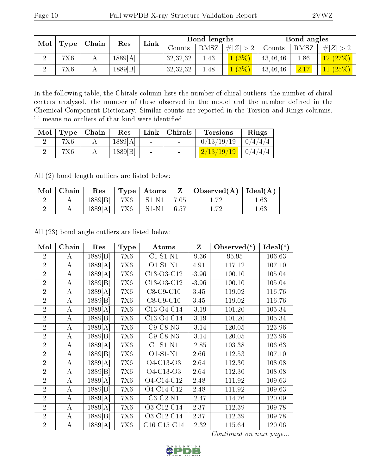| Mol |            | Chain | Res     | Link           | Bond lengths |      |                | Bond angles |      |          |
|-----|------------|-------|---------|----------------|--------------|------|----------------|-------------|------|----------|
|     | Type       |       |         |                | Jounts       | RMSZ | # $ Z  > 2$    | Counts      | RMSZ | Z ><br># |
| റ   | <b>7X6</b> |       | 1889[A] | $\blacksquare$ | 32,32,32     | 1.43 | 1(3%)          | 43,46,46    | .86  | 12(27%)  |
| റ   | 7X6        |       | 1889[B] | $\blacksquare$ | 32,32,32     | 1.48 | $\sqrt{(3\%)}$ | 43,46,46    | 2.17 | 11(25%)  |

In the following table, the Chirals column lists the number of chiral outliers, the number of chiral centers analysed, the number of these observed in the model and the number defined in the Chemical Component Dictionary. Similar counts are reported in the Torsion and Rings columns. '-' means no outliers of that kind were identified.

| Mol | Type   Chain | Res     | Link   | Chirals                  | <b>Torsions</b>          | Rings    |
|-----|--------------|---------|--------|--------------------------|--------------------------|----------|
|     |              | 1889[A] | $\sim$ |                          | 0/13/19/19               | 10/4/4/4 |
|     |              | 1889[B] | $\sim$ | <b>Contract Contract</b> | $2/13/19/19$   $0/4/4/4$ |          |

All (2) bond length outliers are listed below:

|   | $\mid$ Mol $\mid$ Chain | $\operatorname{Res}$ |                                | $\vert$ Type   Atoms $\vert Z \vert$   Observed( $\AA$ )   Ideal( $\AA$ ) |          |
|---|-------------------------|----------------------|--------------------------------|---------------------------------------------------------------------------|----------|
| ↵ |                         |                      | $1889[B]$   7X6   S1-N1   7.05 |                                                                           | $1.63\,$ |
|   |                         |                      | $1889[A]$   7X6   S1-N1   6.57 |                                                                           | 1.63     |

All (23) bond angle outliers are listed below:

| Mol            | Chain            | Res     | <b>Type</b> | Atoms              | $\mathbf{Z}$ | Observed $(°)$ | $\text{Ideal}({}^o)$ |
|----------------|------------------|---------|-------------|--------------------|--------------|----------------|----------------------|
| $\overline{2}$ | A                | 1889[B] | <b>7X6</b>  | $C1-S1-N1$         | $-9.36$      | 95.95          | 106.63               |
| $\overline{2}$ | $\bf{A}$         | 1889[A] | <b>7X6</b>  | $O1-S1-N1$         | 4.91         | 117.12         | 107.10               |
| $\overline{2}$ | $\bf{A}$         | 1889[A] | <b>7X6</b>  | C13-O3-C12         | $-3.96$      | 100.10         | 105.04               |
| $\overline{2}$ | $\bf{A}$         | 1889[B] | <b>7X6</b>  | C13-O3-C12         | $-3.96$      | 100.10         | 105.04               |
| $\overline{2}$ | $\bf{A}$         | 1889[A] | <b>7X6</b>  | $C8-C9-C10$        | 3.45         | 119.02         | 116.76               |
| $\overline{2}$ | $\bf{A}$         | 1889[B] | <b>7X6</b>  | $C8-C9-C10$        | 3.45         | 119.02         | 116.76               |
| $\overline{2}$ | A                | 1889[A] | <b>7X6</b>  | C13-O4-C14         | $-3.19$      | 101.20         | 105.34               |
| $\overline{2}$ | $\bf{A}$         | 1889[B] | <b>7X6</b>  | C13-O4-C14         | $-3.19$      | 101.20         | 105.34               |
| $\overline{2}$ | $\bf{A}$         | 1889[A] | <b>7X6</b>  | $C9$ - $C8$ - $N3$ | $-3.14$      | 120.05         | 123.96               |
| $\overline{2}$ | $\boldsymbol{A}$ | 1889 B  | <b>7X6</b>  | $C9-C8-N3$         | $-3.14$      | 120.05         | 123.96               |
| $\overline{2}$ | A                | 1889[A] | <b>7X6</b>  | $C1-S1-N1$         | $-2.85$      | 103.38         | 106.63               |
| $\overline{2}$ | $\bf{A}$         | 1889[B] | <b>7X6</b>  | $O1-S1-N1$         | 2.66         | 112.53         | 107.10               |
| $\overline{2}$ | A                | 1889[A] | <b>7X6</b>  | O4-C13-O3          | 2.64         | 112.30         | 108.08               |
| $\overline{2}$ | $\boldsymbol{A}$ | 1889 B  | <b>7X6</b>  | O4-C13-O3          | 2.64         | 112.30         | 108.08               |
| $\overline{2}$ | $\bf{A}$         | 1889[A] | <b>7X6</b>  | O4-C14-C12         | 2.48         | 111.92         | 109.63               |
| $\overline{2}$ | $\bf{A}$         | 1889 B  | <b>7X6</b>  | O4-C14-C12         | 2.48         | 111.92         | 109.63               |
| $\overline{2}$ | A                | 1889[A] | <b>7X6</b>  | $C3-C2-N1$         | $-2.47$      | 114.76         | 120.09               |
| $\overline{2}$ | $\bf{A}$         | 1889[A] | <b>7X6</b>  | O3-C12-C14         | 2.37         | 112.39         | 109.78               |
| $\overline{2}$ | A                | 1889 B  | <b>7X6</b>  | O3-C12-C14         | 2.37         | 112.39         | 109.78               |
| $\overline{2}$ | $\bf{A}$         | 1889[A] | <b>7X6</b>  | $C16-C15-C14$      | $-2.32$      | 115.64         | 120.06               |

Continued on next page...

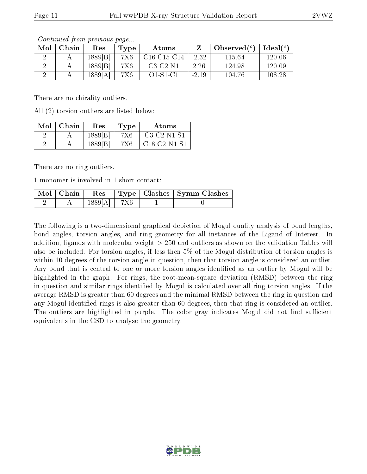| Mol | Chain | $\operatorname{Res}% \left( \mathcal{N}\right) \equiv\operatorname{Res}(\mathcal{N}_{0})\left( \mathcal{N}_{0}\right) ^{2}$ | Type | Atoms          |         | Observed $(°)$ | $Ideal(^{\circ})$ |
|-----|-------|-----------------------------------------------------------------------------------------------------------------------------|------|----------------|---------|----------------|-------------------|
|     |       | 1889 B                                                                                                                      | 7X6  | $C16$ -C15-C14 | $-2.32$ | 115.64         | 120.06            |
|     |       | 1889 B                                                                                                                      | 7X6  | $C3-C2-N1$     | 2.26    | 124.98         | 120.09            |
|     |       | 1889[A]                                                                                                                     | 7X6  | $O1-S1-C1$     | $-2.19$ | 104.76         | 108.28            |

Continued from previous page...

There are no chirality outliers.

All (2) torsion outliers are listed below:

| Mol | - Chain | Res     | 'Type | Atoms                                                           |
|-----|---------|---------|-------|-----------------------------------------------------------------|
|     |         | 1889[B] | 7X6   | $C3-C2-N1-S1$                                                   |
|     |         | 1889[B] | 7X6   | C <sub>18</sub> -C <sub>2</sub> -N <sub>1</sub> -S <sub>1</sub> |

There are no ring outliers.

1 monomer is involved in 1 short contact:

|  |               |  | $\mid$ Mol $\mid$ Chain $\mid$ Res $\mid$ Type $\mid$ Clashes $\mid$ Symm-Clashes |
|--|---------------|--|-----------------------------------------------------------------------------------|
|  | $1889[A]$ 7X6 |  |                                                                                   |

The following is a two-dimensional graphical depiction of Mogul quality analysis of bond lengths, bond angles, torsion angles, and ring geometry for all instances of the Ligand of Interest. In addition, ligands with molecular weight > 250 and outliers as shown on the validation Tables will also be included. For torsion angles, if less then 5% of the Mogul distribution of torsion angles is within 10 degrees of the torsion angle in question, then that torsion angle is considered an outlier. Any bond that is central to one or more torsion angles identified as an outlier by Mogul will be highlighted in the graph. For rings, the root-mean-square deviation (RMSD) between the ring in question and similar rings identified by Mogul is calculated over all ring torsion angles. If the average RMSD is greater than 60 degrees and the minimal RMSD between the ring in question and any Mogul-identified rings is also greater than 60 degrees, then that ring is considered an outlier. The outliers are highlighted in purple. The color gray indicates Mogul did not find sufficient equivalents in the CSD to analyse the geometry.

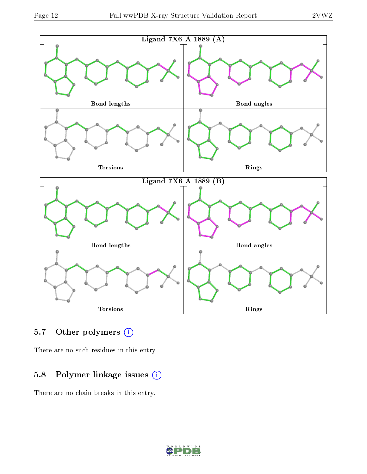

### 5.7 [O](https://www.wwpdb.org/validation/2017/XrayValidationReportHelp#nonstandard_residues_and_ligands)ther polymers (i)

There are no such residues in this entry.

### 5.8 Polymer linkage issues (i)

There are no chain breaks in this entry.

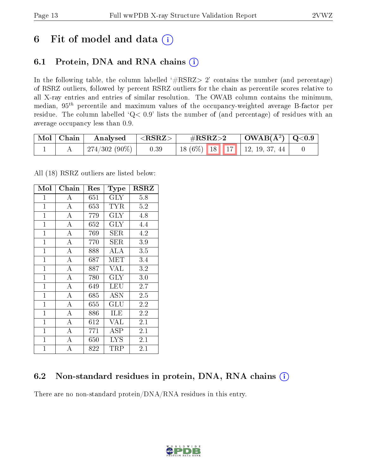## 6 Fit of model and data  $(i)$

## 6.1 Protein, DNA and RNA chains  $(i)$

In the following table, the column labelled  $#RSRZ> 2'$  contains the number (and percentage) of RSRZ outliers, followed by percent RSRZ outliers for the chain as percentile scores relative to all X-ray entries and entries of similar resolution. The OWAB column contains the minimum, median,  $95<sup>th</sup>$  percentile and maximum values of the occupancy-weighted average B-factor per residue. The column labelled ' $Q< 0.9$ ' lists the number of (and percentage) of residues with an average occupancy less than 0.9.

| Mol   Chain | Analysed      | $\leq$ RSRZ $>$ | $\#\text{RSRZ}\text{>2}$       | $\mid$ OWAB(Å <sup>2</sup> ) $\mid$ Q<0.9 |  |
|-------------|---------------|-----------------|--------------------------------|-------------------------------------------|--|
|             | 274/302 (90%) | 0.39            | $18(6\%)$ 18 17 12, 19, 37, 44 |                                           |  |

All (18) RSRZ outliers are listed below:

| Mol            | Chain              | Res | Type                 | $_{\rm RSRZ}$     |
|----------------|--------------------|-----|----------------------|-------------------|
| $\mathbf{1}$   | А                  | 651 | $\rm GLY$            | 5.8               |
| $\overline{1}$ | $\overline{A}$     | 653 | <b>TYR</b>           | 5.2               |
| $\overline{1}$ | $\overline{\rm A}$ | 779 | <b>GLY</b>           | 4.8               |
| $\overline{1}$ | $\overline{A}$     | 652 | <b>GLY</b>           | 4.4               |
| $\overline{1}$ | $\overline{\rm A}$ | 769 | <b>SER</b>           | 4.2               |
| $\mathbf{1}$   | $\overline{A}$     | 770 | SER                  | 3.9               |
| $\mathbf{1}$   | $\overline{A}$     | 888 | <b>ALA</b>           | 3.5               |
| $\mathbf{1}$   | $\overline{\rm A}$ | 687 | MET                  | 3.4               |
| $\mathbf{1}$   | $\overline{A}$     | 887 | <b>VAL</b>           | 3.2               |
| $\mathbf{1}$   | $\overline{\rm A}$ | 780 | $\rm GLY$            | $3.0\,$           |
| $\mathbf{1}$   | $\overline{\rm A}$ | 649 | <b>LEU</b>           | 2.7               |
| $\mathbf{1}$   | $\boldsymbol{A}$   | 685 | ASN                  | $2.5\overline{)}$ |
| $\mathbf{1}$   | $\overline{A}$     | 655 | $\operatorname{GLU}$ | 2.2               |
| $\mathbf{1}$   | A                  | 886 | ILE                  | 2.2               |
| $\mathbf{1}$   | $\overline{\rm A}$ | 612 | VAL                  | 2.1               |
| $\mathbf{1}$   | A                  | 771 | $\operatorname{ASP}$ | 2.1               |
| $\overline{1}$ | A                  | 650 | <b>LYS</b>           | 2.1               |
| $\mathbf{1}$   | A                  | 822 | TRP                  | 2.1               |

## 6.2 Non-standard residues in protein, DNA, RNA chains  $(i)$

There are no non-standard protein/DNA/RNA residues in this entry.

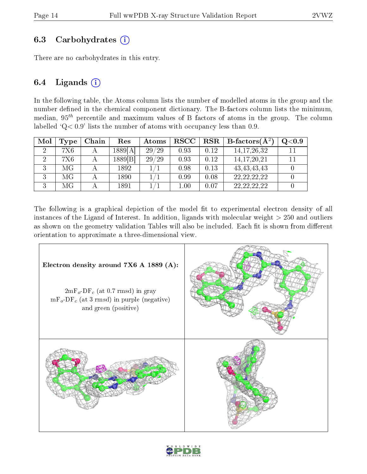### 6.3 Carbohydrates  $(i)$

There are no carbohydrates in this entry.

### 6.4 Ligands  $(i)$

In the following table, the Atoms column lists the number of modelled atoms in the group and the number defined in the chemical component dictionary. The B-factors column lists the minimum, median,  $95<sup>th</sup>$  percentile and maximum values of B factors of atoms in the group. The column labelled  $Q < 0.9$ ' lists the number of atoms with occupancy less than 0.9.

| Mol | Type | Chain | Res     | Atoms | $_{\rm RSCC}$ | RSR  | $\mathbf{B}\text{-factors}(\mathbf{A}^2)$ | Q <sub>0.9</sub> |
|-----|------|-------|---------|-------|---------------|------|-------------------------------------------|------------------|
| റ   | 7X6  |       | 1889[A] | 29/29 | 0.93          | 0.12 | 14, 17, 26, 32                            |                  |
| റ   | 7X6  |       | 1889 B  | 29/29 | 0.93          | 0.12 | 14, 17, 20, 21                            |                  |
|     | МG   |       | 1892    |       | 0.98          | 0.13 | 43, 43, 43, 43                            |                  |
| 3   | МG   |       | 1890    |       | 0.99          | 0.08 | 22, 22, 22, 22                            |                  |
|     | МG   |       | 1891    |       | 1.00          | 0.07 | 22, 22, 22, 22                            |                  |

The following is a graphical depiction of the model fit to experimental electron density of all instances of the Ligand of Interest. In addition, ligands with molecular weight  $> 250$  and outliers as shown on the geometry validation Tables will also be included. Each fit is shown from different orientation to approximate a three-dimensional view.